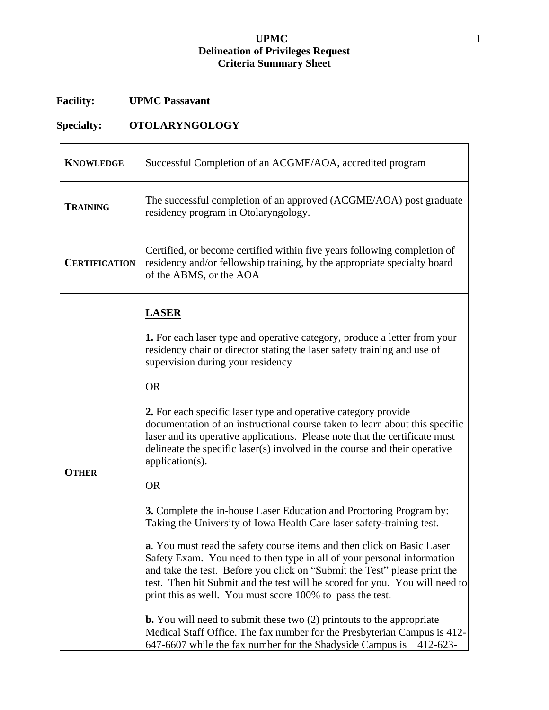## **UPMC** 1 **Delineation of Privileges Request Criteria Summary Sheet**

## **Facility: UPMC Passavant**

## **Specialty: OTOLARYNGOLOGY**

| <b>KNOWLEDGE</b>     | Successful Completion of an ACGME/AOA, accredited program                                                                                                                                                                                                                                                                                                                 |
|----------------------|---------------------------------------------------------------------------------------------------------------------------------------------------------------------------------------------------------------------------------------------------------------------------------------------------------------------------------------------------------------------------|
| <b>TRAINING</b>      | The successful completion of an approved (ACGME/AOA) post graduate<br>residency program in Otolaryngology.                                                                                                                                                                                                                                                                |
| <b>CERTIFICATION</b> | Certified, or become certified within five years following completion of<br>residency and/or fellowship training, by the appropriate specialty board<br>of the ABMS, or the AOA                                                                                                                                                                                           |
| <b>OTHER</b>         | <b>LASER</b>                                                                                                                                                                                                                                                                                                                                                              |
|                      | 1. For each laser type and operative category, produce a letter from your<br>residency chair or director stating the laser safety training and use of<br>supervision during your residency                                                                                                                                                                                |
|                      | <b>OR</b>                                                                                                                                                                                                                                                                                                                                                                 |
|                      | 2. For each specific laser type and operative category provide<br>documentation of an instructional course taken to learn about this specific<br>laser and its operative applications. Please note that the certificate must<br>delineate the specific laser(s) involved in the course and their operative<br>application(s).                                             |
|                      | <b>OR</b>                                                                                                                                                                                                                                                                                                                                                                 |
|                      | 3. Complete the in-house Laser Education and Proctoring Program by:<br>Taking the University of Iowa Health Care laser safety-training test.                                                                                                                                                                                                                              |
|                      | a. You must read the safety course items and then click on Basic Laser<br>Safety Exam. You need to then type in all of your personal information<br>and take the test. Before you click on "Submit the Test" please print the<br>test. Then hit Submit and the test will be scored for you. You will need to<br>print this as well. You must score 100% to pass the test. |
|                      | <b>b.</b> You will need to submit these two $(2)$ printouts to the appropriate<br>Medical Staff Office. The fax number for the Presbyterian Campus is 412-<br>647-6607 while the fax number for the Shadyside Campus is<br>$412 - 623 -$                                                                                                                                  |